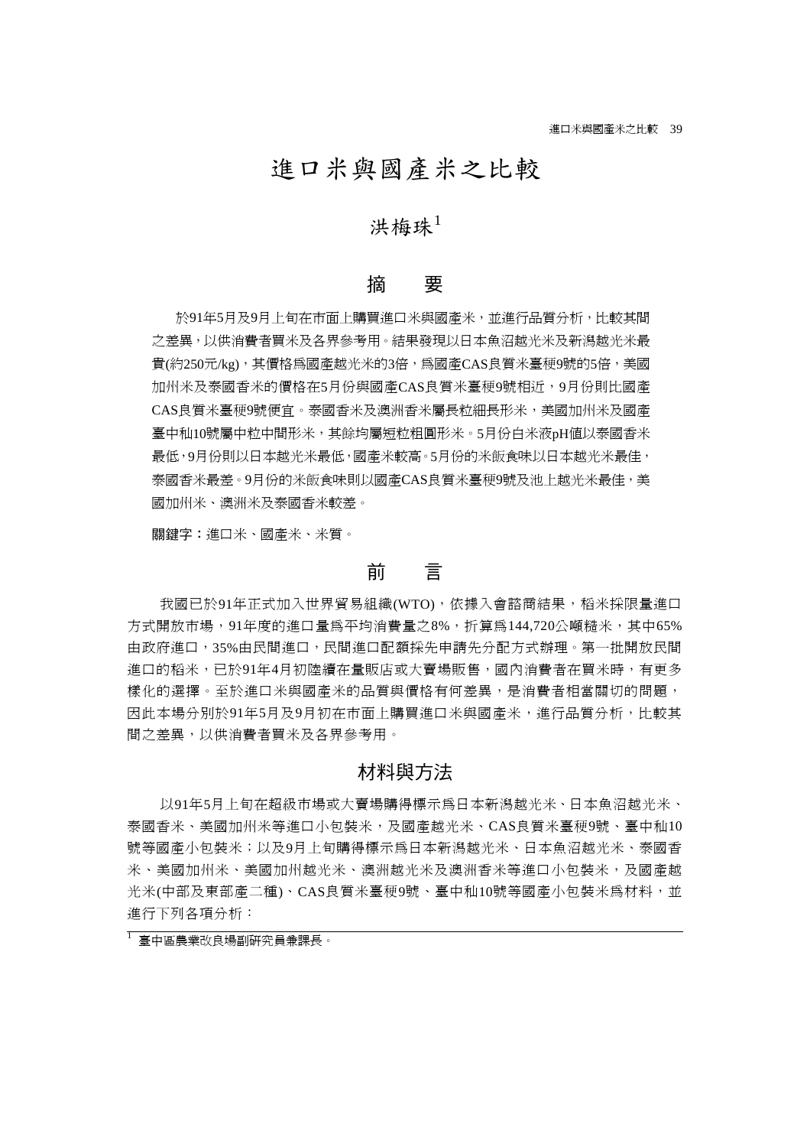# 進口米與國產米之比較

# 洪梅珠 $1$

### 摘 要

於91年5月及9月上旬在市面上購買進口米與國產米,並進行品質分析,比較其間 之差異,以供消費者買米及各界參考用。結果發現以日本魚沼越光米及新潟越光米最 貴(約250元/kg),其價格為國產越光米的3倍,為國產CAS良質米臺稉9號的5倍,美國 加州米及泰國香米的價格在5月份與國產CAS良質米臺稉9號相近,9月份則比國產 CAS良質米臺稉9號便宜。泰國香米及澳洲香米屬長粒細長形米,美國加州米及國產 臺中秈10號屬中粒中間形米,其餘均屬短粒粗圓形米。5月份白米液pH值以泰國香米 最低,9月份則以日本越光米最低,國產米較高。5月份的米飯食味以日本越光米最佳, 泰國香米最差。9月份的米飯食味則以國產CAS良質米臺稉9號及池上越光米最佳,美 國加州米、澳洲米及泰國香米較差。

關鍵字:進口米、國產米、米質。

### 前 言

我國已於91年正式加入世界貿易組織(WTO),依據入會諮商結果,稻米採限量進口 方式開放市場,91年度的進口量為平均消費量之8%,折算為144,720公噸糙米,其中65% 由政府進口,35%由民間進口,民間進口配額採先申請先分配方式辦理。第一批開放民間 進口的稻米,已於91年4月初陸續在量販店或大賣場販售,國內消費者在買米時,有更多 樣化的選擇。至於進口米與國產米的品質與價格有何差異,是消費者相當關切的問題, 因此本場分別於91年5月及9月初在市面上購買進口米與國產米,進行品質分析,比較其 間之差異,以供消費者買米及各界參考用。

# 材料與方法

以91年5月上旬在超級市場或大賣場購得標示為日本新潟越光米、日本魚沼越光米、 泰國香米、美國加州米等進口小包裝米,及國產越光米、CAS良質米臺稉9號、臺中秈10 號等國產小包裝米;以及9月上旬購得標示為日本新潟越光米、日本魚沼越光米、泰國香 米、美國加州米、美國加州越光米、澳洲越光米及澳洲香米等進口小包裝米,及國產越 光米(中部及東部產二種)、CAS良質米臺稉9號、臺中秈10號等國產小包裝米為材料,並 進行下列各項分析:

<sup>1</sup> 臺中區農業改良場副研究員兼課長。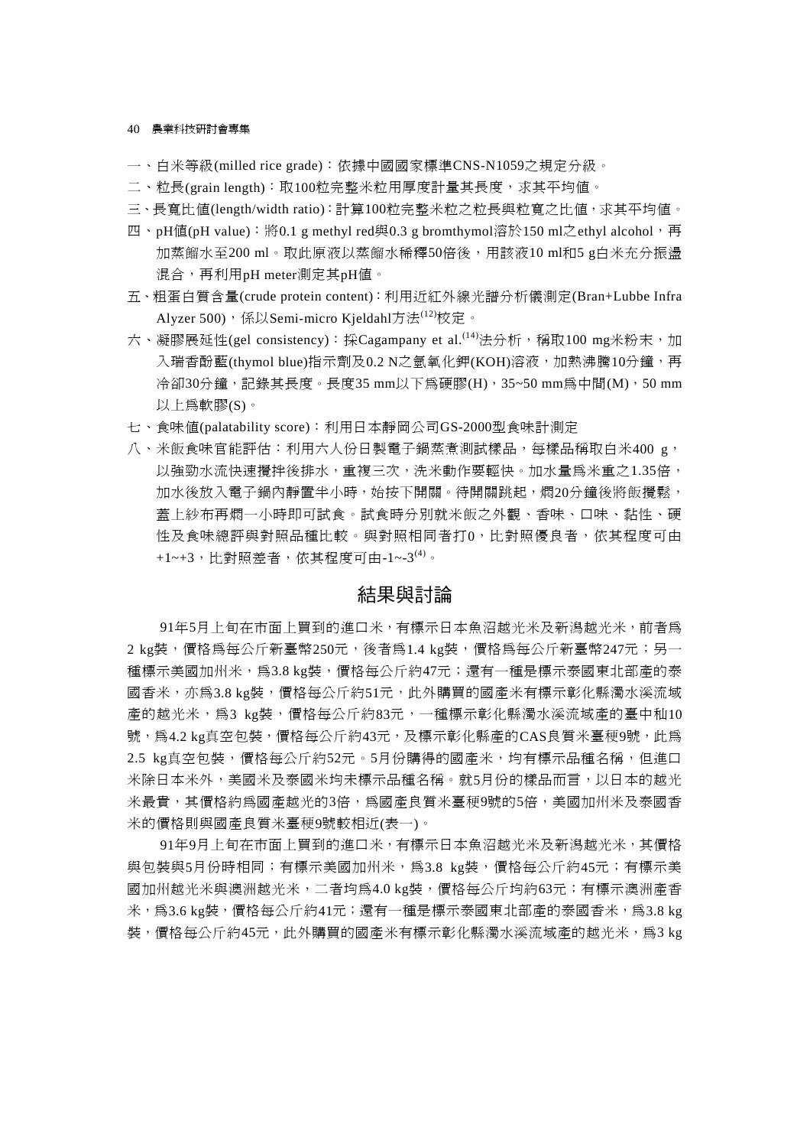#### 40 農業科技研討會專集

- 一、白米等級(milled rice grade):依據中國國家標準CNS-N1059之規定分級。
- 二、粒長(grain length): 取100粒完整米粒用厚度計量其長度, 求其平均值。
- 三、長寬比值(length/width ratio):計算100粒完整米粒之粒長與粒寬之比值,求其平均值。
- 四、pH值(pH value): 將0.1 g methyl red與0.3 g bromthymol溶於150 ml之ethyl alcohol, 再 加蒸餾水至200 ml。取此原液以蒸餾水稀釋50倍後,用該液10 ml和5 g白米充分振盪 混合,再利用pH meter測定其pH值。
- 五、粗蛋白質含量(crude protein content):利用近紅外線光譜分析儀測定(Bran+Lubbe Infra Alyzer 500), 係以Semi-micro Kjeldahl方法(12)校定。
- 六、凝膠展延性(gel consistency): 採Cagampany et al.<sup>(14)</sup>法分析,稱取100 mg米粉末,加 入瑞香酚藍(thymol blue)指示劑及0.2 N之氫氧化鉀(KOH)溶液,加熱沸騰10分鐘,再 冷卻30分鐘,記錄其長度。長度35 mm以下為硬膠(H), 35~50 mm為中間(M), 50 mm 以上為軟膠(S)。
- 七、食味值(palatability score):利用日本靜岡公司GS-2000型食味計測定
- 八、米飯食味官能評估:利用六人份日製電子鍋蒸煮測試樣品,每樣品稱取白米400 g, 以強勁水流快速攪拌後排水,重複三次,洗米動作要輕快。加水量為米重之1.35倍, 加水後放入電子鍋內靜置半小時,始按下開關。待開關跳起,燜20分鐘後將飯攪鬆, 蓋上紗布再燜一小時即可試食。試食時分別就米飯之外觀、香味、口味、黏性、硬 性及食味總評與對照品種比較。與對照相同者打0,比對照優良者,依其程度可由 +1~+3,比對照差者,依其程度可由-1~-3(4)。

# 結果與討論

91年5月上旬在市面上買到的進口米,有標示日本魚沼越光米及新潟越光米,前者為 2 kg裝,價格為每公斤新臺幣250元,後者為1.4 kg裝,價格為每公斤新臺幣247元;另一 種標示美國加州米,為3.8 kg裝,價格每公斤約47元;還有一種是標示泰國東北部產的泰 國香米,亦為3.8 kg裝,價格每公斤約51元,此外購買的國產米有標示彰化縣濁水溪流域 產的越光米,為3 kg裝,價格每公斤約83元,一種標示彰化縣濁水溪流域產的臺中秈10 號,為4.2 kg真空包裝,價格每公斤約43元,及標示彰化縣產的CAS良質米臺稉9號,此為 2.5 kg真空包裝,價格每公斤約52元。5月份購得的國產米,均有標示品種名稱,但進口 米除日本米外,美國米及泰國米均未標示品種名稱。就5月份的樣品而言,以日本的越光 米最貴,其價格約為國產越光的3倍,為國產良質米臺稉9號的5倍,美國加州米及泰國香 米的價格則與國產良質米臺稉9號較相近(表一)。

91年9月上旬在市面上買到的進口米,有標示日本魚沼越光米及新潟越光米,其價格 與包裝與5月份時相同;有標示美國加州米, 為3.8 kg裝, 價格每公斤約45元;有標示美 國加州越光米與澳洲越光米,二者均為4.0 kg裝,價格每公斤均約63元;有標示澳洲產香 米,為3.6 kg裝,價格每公斤約41元;還有一種是標示泰國東北部產的泰國香米,為3.8 kg 裝,價格每公斤約45元,此外購買的國產米有標示彰化縣濁水溪流域產的越光米,為3 kg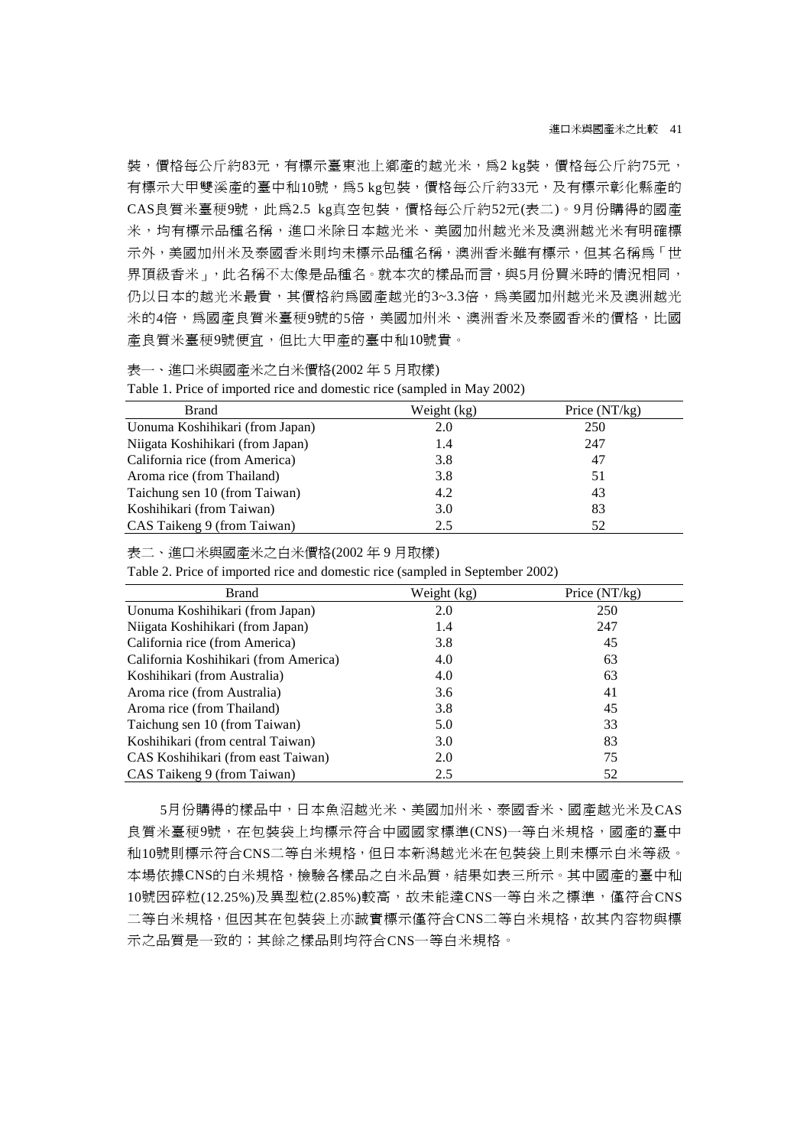裝,價格每公斤約83元,有標示臺東池上鄉產的越光米,為2 kg裝,價格每公斤約75元, 有標示大甲雙溪產的臺中秈10號,為5 kg包裝,價格每公斤約33元,及有標示彰化縣產的 CAS良質米臺稉9號,此為2.5 kg真空包裝,價格每公斤約52元(表二)。9月份購得的國產 米,均有標示品種名稱,進口米除日本越光米、美國加州越光米及澳洲越光米有明確標 示外,美國加州米及泰國香米則均未標示品種名稱,澳洲香米雖有標示,但其名稱為「世 界頂級香米」,此名稱不太像是品種名。就本次的樣品而言,與5月份買米時的情況相同, 仍以日本的越光米最貴,其價格約為國產越光的3~3.3倍,為美國加州越光米及澳洲越光 米的4倍,為國產良質米臺稉9號的5倍,美國加州米、澳洲香米及泰國香米的價格,比國 產良質米臺稉9號便宜,但比大甲產的臺中秈10號貴。

表一、進口米與國產米之白米價格(2002 年 5 月取樣)

|  | Table 1. Price of imported rice and domestic rice (sampled in May 2002) |  |
|--|-------------------------------------------------------------------------|--|
|  |                                                                         |  |

| <b>Brand</b>                     | Weight (kg) | Price $(NT/kg)$ |
|----------------------------------|-------------|-----------------|
| Uonuma Koshihikari (from Japan)  | 2.0         | 250             |
| Niigata Koshihikari (from Japan) | 1.4         | 247             |
| California rice (from America)   | 3.8         | 47              |
| Aroma rice (from Thailand)       | 3.8         | 51              |
| Taichung sen 10 (from Taiwan)    | 4.2         | 43              |
| Koshihikari (from Taiwan)        | 3.0         | 83              |
| CAS Taikeng 9 (from Taiwan)      | 2.5         | 52              |

表二、進口米與國產米之白米價格(2002 年 9 月取樣)

Table 2. Price of imported rice and domestic rice (sampled in September 2002)

| <b>Brand</b>                          | Weight (kg) | Price (NT/kg) |
|---------------------------------------|-------------|---------------|
| Uonuma Koshihikari (from Japan)       | 2.0         | 250           |
| Niigata Koshihikari (from Japan)      | 1.4         | 247           |
| California rice (from America)        | 3.8         | 45            |
| California Koshihikari (from America) | 4.0         | 63            |
| Koshihikari (from Australia)          | 4.0         | 63            |
| Aroma rice (from Australia)           | 3.6         | 41            |
| Aroma rice (from Thailand)            | 3.8         | 45            |
| Taichung sen 10 (from Taiwan)         | 5.0         | 33            |
| Koshihikari (from central Taiwan)     | 3.0         | 83            |
| CAS Koshihikari (from east Taiwan)    | 2.0         | 75            |
| CAS Taikeng 9 (from Taiwan)           | 2.5         | 52            |

5月份購得的樣品中,日本魚沼越光米、美國加州米、泰國香米、國產越光米及CAS 良質米臺稉9號,在包裝袋上均標示符合中國國家標準(CNS)一等白米規格,國產的臺中 秈10號則標示符合CNS二等白米規格,但日本新潟越光米在包裝袋上則未標示白米等級。 本場依據CNS的白米規格,檢驗各樣品之白米品質,結果如表三所示。其中國產的臺中秈 10號因碎粒(12.25%)及異型粒(2.85%)較高,故未能達CNS一等白米之標準,僅符合CNS 二等白米規格,但因其在包裝袋上亦誠實標示僅符合CNS二等白米規格,故其內容物與標 示之品質是一致的;其餘之樣品則均符合CNS一等白米規格。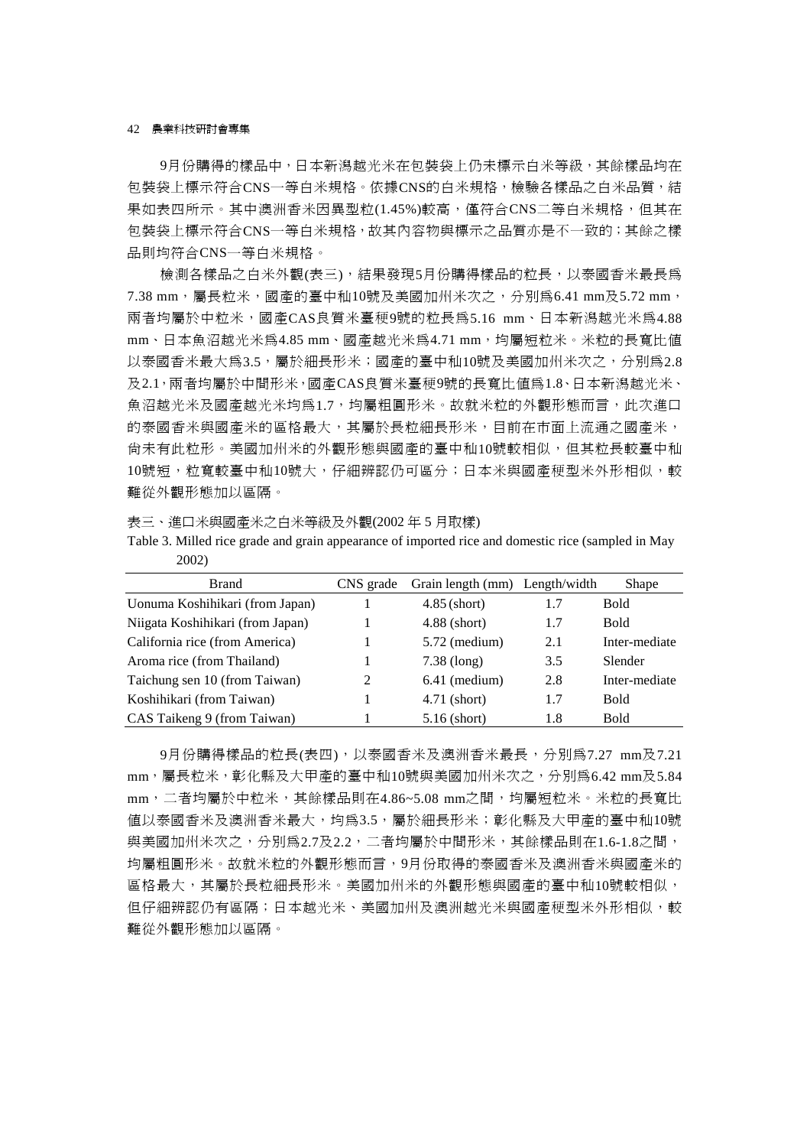42 農業科技研討會專集

9月份購得的樣品中,日本新潟越光米在包裝袋上仍未標示白米等級,其餘樣品均在 包裝袋上標示符合CNS一等白米規格。依據CNS的白米規格,檢驗各樣品之白米品質,結 果如表四所示。其中澳洲香米因異型粒(1.45%)較高,僅符合CNS二等白米規格,但其在 包裝袋上標示符合CNS一等白米規格,故其內容物與標示之品質亦是不一致的;其餘之樣 品則均符合CNS一等白米規格。

檢測各樣品之白米外觀(表三),結果發現5月份購得樣品的粒長,以泰國香米最長為 7.38 mm,屬長粒米,國產的臺中秈10號及美國加州米次之,分別為6.41 mm及5.72 mm, 兩者均屬於中粒米,國產CAS良質米臺稉9號的粒長為5.16 mm、日本新潟越光米為4.88 mm、日本魚沼越光米為4.85 mm、國產越光米為4.71 mm,均屬短粒米。米粒的長寬比值 以泰國香米最大為3.5,屬於細長形米;國產的臺中秈10號及美國加州米次之,分別為2.8 及2.1,兩者均屬於中間形米,國產CAS良質米臺稉9號的長寬比值為1.8、日本新潟越光米、 魚沼越光米及國產越光米均爲1.7,均屬粗圓形米。故就米粒的外觀形態而言,此次進口 的泰國香米與國產米的區格最大,其屬於長粒細長形米,目前在市面上流通之國產米, 尚未有此粒形。美國加州米的外觀形態與國產的臺中秈10號較相似,但其粒長較臺中秈 10號短,粒寬較臺中秈10號大,仔細辨認仍可區分;日本米與國產種型米外形相似,較 難從外觀形態加以區隔。

表三、進口米與國產米之白米等級及外觀(2002 年 5 月取樣)

| Table 3. Milled rice grade and grain appearance of imported rice and domestic rice (sampled in May |  |  |
|----------------------------------------------------------------------------------------------------|--|--|
| 2002)                                                                                              |  |  |

| <b>Brand</b>                     | CNS grade      | Grain length (mm) Length/width |     | Shape         |
|----------------------------------|----------------|--------------------------------|-----|---------------|
| Uonuma Koshihikari (from Japan)  |                | $4.85$ (short)                 | 1.7 | <b>Bold</b>   |
| Niigata Koshihikari (from Japan) |                | $4.88$ (short)                 | 1.7 | <b>Bold</b>   |
| California rice (from America)   |                | $5.72$ (medium)                | 2.1 | Inter-mediate |
| Aroma rice (from Thailand)       |                | $7.38$ (long)                  | 3.5 | Slender       |
| Taichung sen 10 (from Taiwan)    | $\mathfrak{D}$ | $6.41$ (medium)                | 2.8 | Inter-mediate |
| Koshihikari (from Taiwan)        |                | 4.71 (short)                   | 1.7 | <b>Bold</b>   |
| CAS Taikeng 9 (from Taiwan)      |                | $5.16$ (short)                 | 1.8 | <b>Bold</b>   |

9月份購得樣品的粒長(表四),以泰國香米及澳洲香米最長,分別為7.27 mm及7.21 mm,屬長粒米,彰化縣及大甲產的臺中秈10號與美國加州米次之,分別為6.42 mm及5.84 mm,二者均屬於中粒米,其餘樣品則在4.86~5.08 mm之間,均屬短粒米。米粒的長寬比 值以泰國香米及澳洲香米最大,均爲3.5,屬於細長形米;彰化縣及大甲產的臺中秈10號 與美國加州米次之,分別為2.7及2.2,二者均屬於中間形米,其餘樣品則在1.6-1.8之間, 均屬粗圓形米。故就米粒的外觀形態而言,9月份取得的泰國香米及澳洲香米與國產米的 區格最大,其屬於長粒細長形米。美國加州米的外觀形態與國產的臺中秈10號較相似, 但仔細辨認仍有區隔;日本越光米、美國加州及澳洲越光米與國產稉型米外形相似,較 難從外觀形態加以區隔。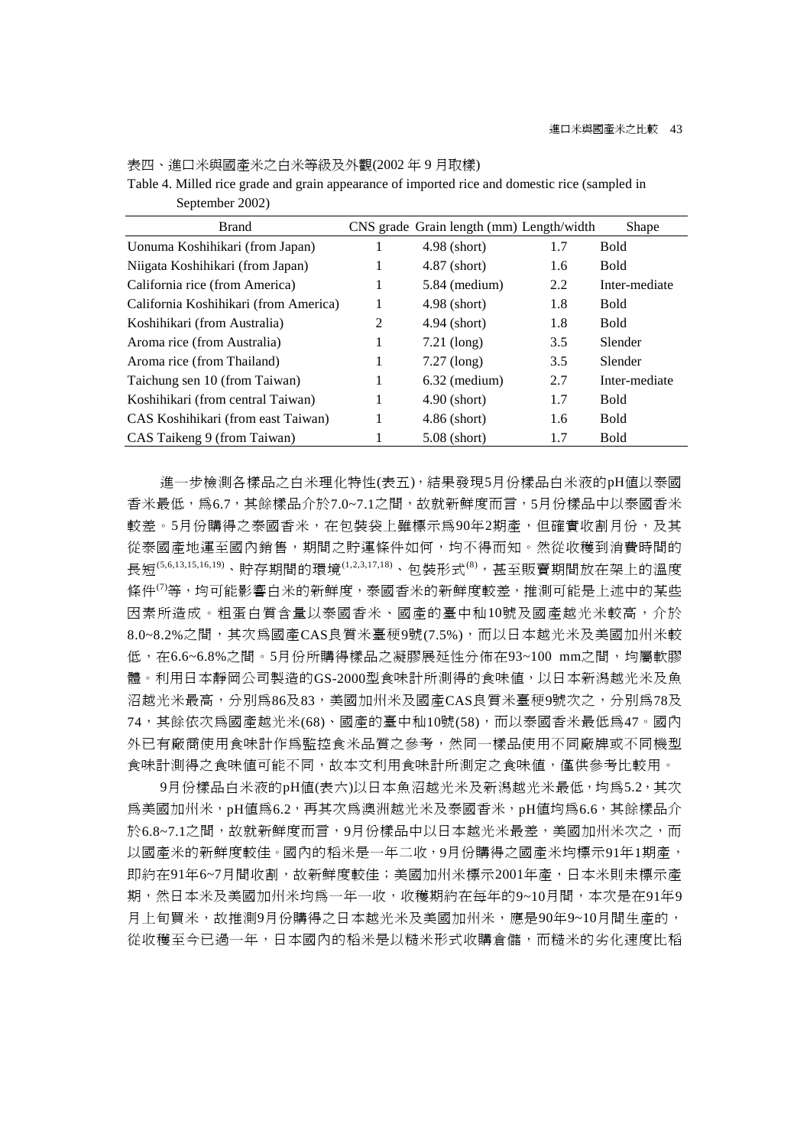| <b>Brand</b>                          |   | CNS grade Grain length (mm) Length/width |     | Shape         |
|---------------------------------------|---|------------------------------------------|-----|---------------|
| Uonuma Koshihikari (from Japan)       |   | $4.98$ (short)                           | 1.7 | <b>Bold</b>   |
| Niigata Koshihikari (from Japan)      |   | $4.87$ (short)                           | 1.6 | <b>Bold</b>   |
| California rice (from America)        | 1 | $5.84$ (medium)                          | 2.2 | Inter-mediate |
| California Koshihikari (from America) |   | $4.98$ (short)                           | 1.8 | <b>Bold</b>   |
| Koshihikari (from Australia)          | 2 | $4.94$ (short)                           | 1.8 | <b>Bold</b>   |
| Aroma rice (from Australia)           |   | $7.21$ (long)                            | 3.5 | Slender       |
| Aroma rice (from Thailand)            |   | $7.27$ (long)                            | 3.5 | Slender       |
| Taichung sen 10 (from Taiwan)         |   | $6.32$ (medium)                          | 2.7 | Inter-mediate |
| Koshihikari (from central Taiwan)     |   | $4.90$ (short)                           | 1.7 | <b>Bold</b>   |
| CAS Koshihikari (from east Taiwan)    |   | $4.86$ (short)                           | 1.6 | <b>Bold</b>   |
| CAS Taikeng 9 (from Taiwan)           |   | $5.08$ (short)                           | 1.7 | <b>Bold</b>   |

Table 4. Milled rice grade and grain appearance of imported rice and domestic rice (sampled in September 2002)

表四、進口米與國產米之白米等級及外觀(2002 年 9 月取樣)

進一步檢測各樣品之白米理化特性(表五),結果發現5月份樣品白米液的pH值以泰國 香米最低,為6.7,其餘樣品介於7.0~7.1之間,故就新鮮度而言,5月份樣品中以泰國香米 較差。5月份購得之泰國香米,在包裝袋上雖標示為90年2期產,但確實收割月份,及其 從泰國產地運至國內銷售,期間之貯運條件如何,均不得而知。然從收穫到消費時間的 長短(5,6,13,15,16,19)、貯存期間的環境(1,2,3,17,18)、包裝形式(8),甚至販賣期間放在架上的溫度 條件<sup>(7)</sup>等,均可能影響白米的新鮮度,泰國香米的新鮮度較差,推測可能是上述中的某些 因素所造成。粗蛋白質含量以泰國香米、國產的臺中秈10號及國產越光米較高,介於 8.0~8.2%之間,其次為國產CAS良質米臺稉9號(7.5%),而以日本越光米及美國加州米較 低,在6.6~6.8%之間。5月份所購得樣品之凝膠展延性分佈在93~100 mm之間,均屬軟膠 體。利用日本靜岡公司製造的GS-2000型食味計所測得的食味值,以日本新潟越光米及魚 沼越光米最高,分別為86及83,美國加州米及國產CAS良質米臺稉9號次之,分別為78及 74,其餘依次爲國產越光米(68)、國產的臺中秈10號(58),而以泰國香米最低爲47。國內 外已有廠商使用食味計作為監控食米品質之參考,然同一樣品使用不同廠牌或不同機型 食味計測得之食味值可能不同,故本文利用食味計所測定之食味值,僅供參考比較用。

9月份樣品白米液的pH值(表六)以日本魚沼越光米及新潟越光米最低,均為5.2,其次 為美國加州米,pH值為6.2,再其次為澳洲越光米及泰國香米,pH值均為6.6,其餘樣品介 於6.8~7.1之間,故就新鮮度而言,9月份樣品中以日本越光米最差,美國加州米次之,而 以國產米的新鮮度較佳。國內的稻米是一年二收,9月份購得之國產米均標示91年1期產, 即約在91年6~7月間收割,故新鮮度較佳;美國加州米標示2001年產,日本米則未標示產 期,然日本米及美國加州米均為一年一收,收穫期約在每年的9~10月間,本次是在91年9 月上旬買米,故推測9月份購得之日本越光米及美國加州米,應是90年9~10月間生產的, 從收穫至今已過一年,日本國內的稻米是以糙米形式收購倉儲,而糙米的劣化速度比稻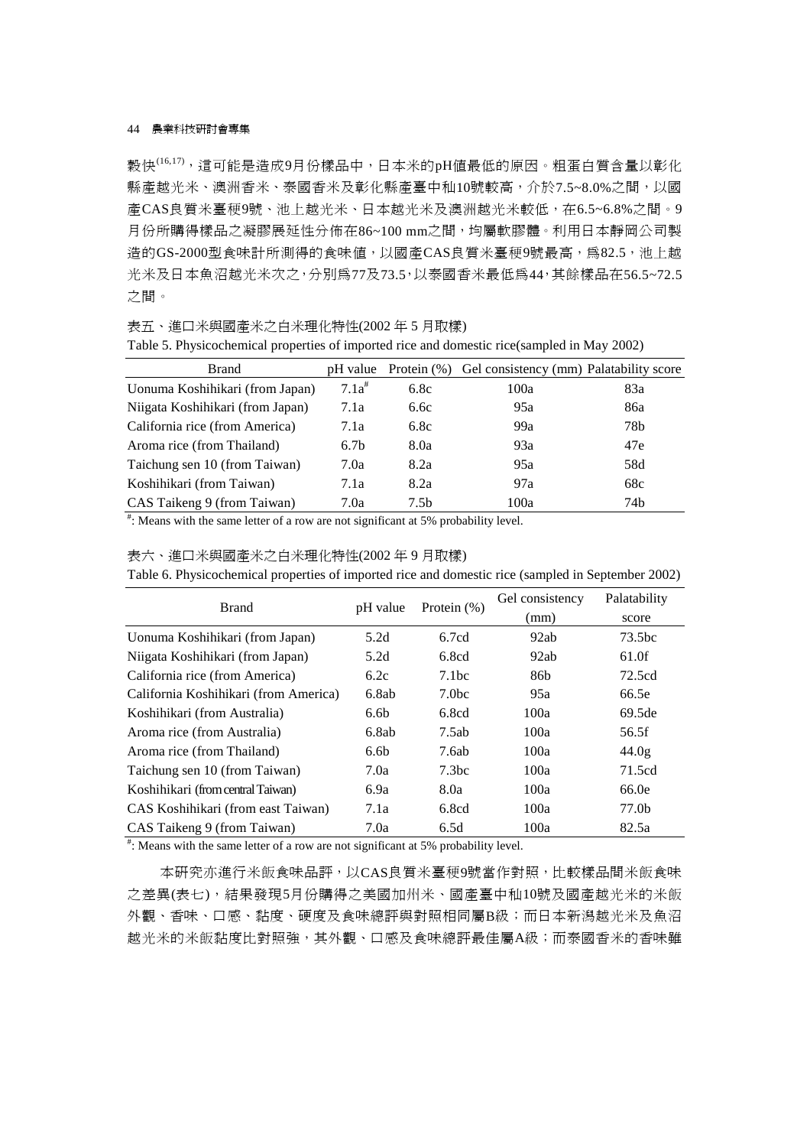穀快(16,17),這可能是造成9月份樣品中,日本米的pH值最低的原因。粗蛋白質含量以彰化 縣產越光米、澳洲香米、泰國香米及彰化縣產臺中秈10號較高,介於7.5~8.0%之間,以國 產CAS良質米臺稉9號、池上越光米、日本越光米及澳洲越光米較低,在6.5~6.8%之間。9 月份所購得樣品之凝膠展延性分佈在86~100 mm之間,均屬軟膠體。利用日本靜岡公司製 造的GS-2000型食味計所測得的食味值,以國產CAS良質米臺稉9號最高,為82.5,池上越 光米及日本魚沼越光米次之,分別為77及73.5,以泰國香米最低為44,其餘樣品在56.5~72.5 之間。

表五、進口米與國產米之白米理化特性(2002 年 5 月取樣)

| <b>Brand</b>                     | pH value         | Protein $(\% )$ | Gel consistency (mm) Palatability score |     |
|----------------------------------|------------------|-----------------|-----------------------------------------|-----|
| Uonuma Koshihikari (from Japan)  | $7.1a^{#}$       | 6.8c            | 100a                                    | 83a |
| Niigata Koshihikari (from Japan) | 7.1a             | 6.6c            | 95a                                     | 86a |
| California rice (from America)   | 7.1a             | 6.8c            | 99a                                     | 78b |
| Aroma rice (from Thailand)       | 6.7 <sub>b</sub> | 8.0a            | 93a                                     | 47e |
| Taichung sen 10 (from Taiwan)    | 7.0a             | 8.2a            | 95a                                     | 58d |
| Koshihikari (from Taiwan)        | 7.1a             | 8.2a            | 97a                                     | 68c |
| CAS Taikeng 9 (from Taiwan)      | 7.0a             | 7.5b            | 100a                                    | 74b |

Table 5. Physicochemical properties of imported rice and domestic rice(sampled in May 2002)

# : Means with the same letter of a row are not significant at 5% probability level.

#### 表六、進口米與國產米之白米理化特性(2002 年 9 月取樣)

Table 6. Physicochemical properties of imported rice and domestic rice (sampled in September 2002)

|                  |                   | Gel consistency | Palatability |
|------------------|-------------------|-----------------|--------------|
|                  |                   | (mm)            | score        |
| 5.2d             | 6.7cd             | 92ab            | 73.5bc       |
| 5.2d             | 6.8cd             | 92ab            | 61.0f        |
| 6.2c             | 7.1bc             | 86b             | 72.5cd       |
| 6.8ab            | 7.0 <sub>bc</sub> | 95a             | 66.5e        |
| 6.6 <sub>b</sub> | 6.8cd             | 100a            | 69.5de       |
| 6.8ab            | 7.5ab             | 100a            | 56.5f        |
| 6.6 <sub>b</sub> | 7.6ab             | 100a            | 44.0g        |
| 7.0a             | 7.3 <sub>bc</sub> | 100a            | 71.5cd       |
| 6.9a             | 8.0a              | 100a            | 66.0e        |
| 7.1a             | 6.8cd             | 100a            | 77.0b        |
| 7.0a             | 6.5d              | 100a            | 82.5a        |
|                  | pH value          | Protein $(\%)$  |              |

# : Means with the same letter of a row are not significant at 5% probability level.

本研究亦進行米飯食味品評,以CAS良質米臺稉9號當作對照,比較樣品間米飯食味 之差異(表七),結果發現5月份購得之美國加州米、國產臺中秈10號及國產越光米的米飯 外觀、香味、口感、黏度、硬度及食味總評與對照相同屬B級;而日本新潟越光米及魚沼 越光米的米飯黏度比對照強,其外觀、口感及食味總評最佳屬A級;而泰國香米的香味雖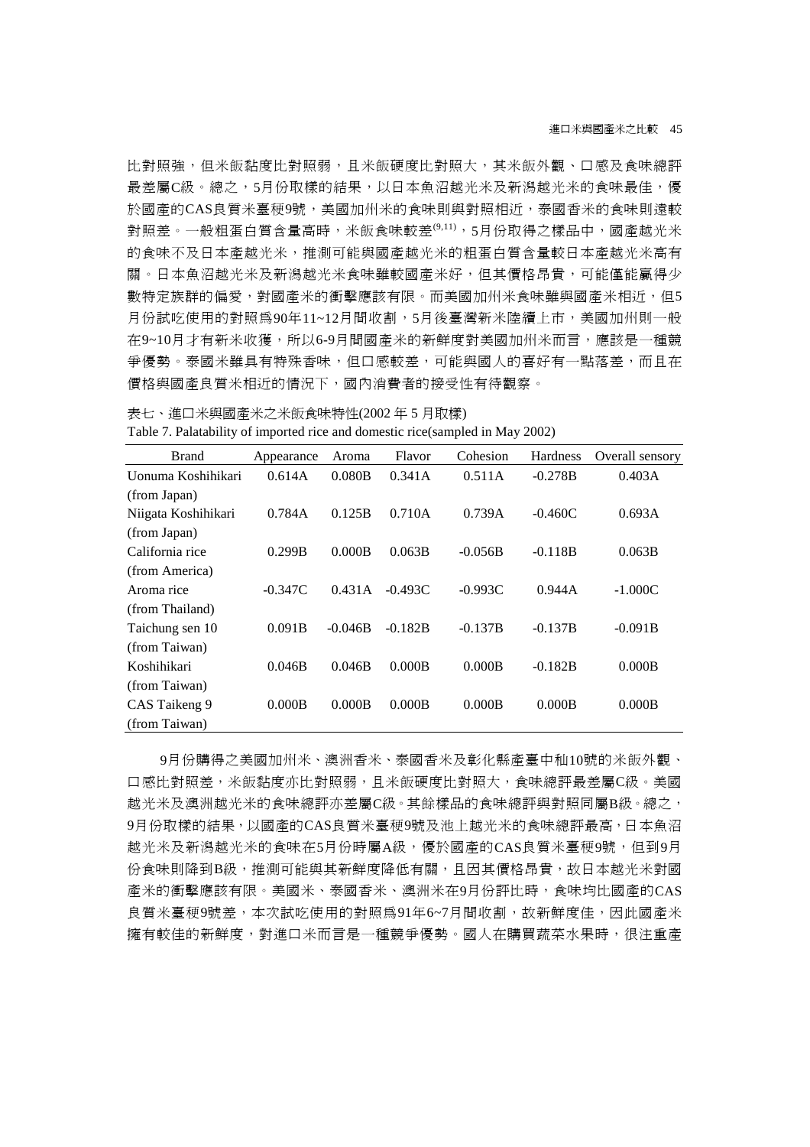比對照強,但米飯黏度比對照弱,且米飯硬度比對照大,其米飯外觀、口感及食味總評 最差屬C級。總之,5月份取樣的結果,以日本魚沼越光米及新潟越光米的食味最佳,優 於國產的CAS良質米臺稉9號,美國加州米的食味則與對照相近,泰國香米的食味則遠較 對照差。一般粗蛋白質含量高時,米飯食味較差(9,11),5月份取得之樣品中,國產越光米 的食味不及日本產越光米,推測可能與國產越光米的粗蛋白質含量較日本產越光米高有 關。日本魚沼越光米及新潟越光米食味雖較國產米好,但其價格昂貴,可能僅能贏得少 數特定族群的偏愛,對國產米的衝擊應該有限。而美國加州米食味雖與國產米相近,但5 月份試吃使用的對照為90年11~12月間收割,5月後臺灣新米陸續上市,美國加州則一般 在9~10月才有新米收獲,所以6-9月間國產米的新鮮度對美國加州米而言,應該是一種競 爭優勢。泰國米雖具有特殊香味,但口感較差,可能與國人的喜好有一點落差,而且在 價格與國產良質米相近的情況下,國內消費者的接受性有待觀察。

表七、進口米與國產米之米飯食味特性(2002 年 5 月取樣) Table 7. Palatability of imported rice and domestic rice(sampled in May 2002)

| <b>Brand</b>        | Appearance | Aroma     | Flavor    | Cohesion  | <b>Hardness</b> | Overall sensory |
|---------------------|------------|-----------|-----------|-----------|-----------------|-----------------|
| Uonuma Koshihikari  | 0.614A     | 0.080B    | 0.341A    | 0.511A    | $-0.278B$       | 0.403A          |
| (from Japan)        |            |           |           |           |                 |                 |
| Niigata Koshihikari | 0.784A     | 0.125B    | 0.710A    | 0.739A    | $-0.460C$       | 0.693A          |
| (from Japan)        |            |           |           |           |                 |                 |
| California rice     | 0.299B     | 0.000B    | 0.063B    | $-0.056B$ | $-0.118B$       | 0.063B          |
| (from America)      |            |           |           |           |                 |                 |
| Aroma rice          | $-0.347C$  | 0.431A    | $-0.493C$ | $-0.993C$ | 0.944A          | $-1.000C$       |
| (from Thailand)     |            |           |           |           |                 |                 |
| Taichung sen 10     | 0.091B     | $-0.046B$ | $-0.182B$ | $-0.137B$ | $-0.137B$       | $-0.091B$       |
| (from Taiwan)       |            |           |           |           |                 |                 |
| Koshihikari         | 0.046B     | 0.046B    | 0.000B    | 0.000B    | $-0.182B$       | 0.000B          |
| (from Taiwan)       |            |           |           |           |                 |                 |
| CAS Taikeng 9       | 0.000B     | 0.000B    | 0.000B    | 0.000B    | 0.000B          | 0.000B          |
| (from Taiwan)       |            |           |           |           |                 |                 |

9月份購得之美國加州米、澳洲香米、泰國香米及彰化縣產臺中秈10號的米飯外觀、 口感比對照差,米飯黏度亦比對照弱,且米飯硬度比對照大,食味總評最差屬C級。美國 越光米及澳洲越光米的食味總評亦差屬C級。其餘樣品的食味總評與對照同屬B級。總之, 9月份取樣的結果,以國產的CAS良質米臺稉9號及池上越光米的食味總評最高,日本魚沼 越光米及新潟越光米的食味在5月份時屬A級,優於國產的CAS良質米臺稉9號,但到9月 份食味則降到B級,推測可能與其新鮮度降低有關,且因其價格昂貴,故日本越光米對國 產米的衝擊應該有限。美國米、泰國香米、澳洲米在9月份評比時,食味均比國產的CAS 良質米臺稉9號差,本次試吃使用的對照為91年6~7月間收割,故新鮮度佳,因此國產米 擁有較佳的新鮮度,對進口米而言是一種競爭優勢。國人在購買蔬菜水果時,很注重產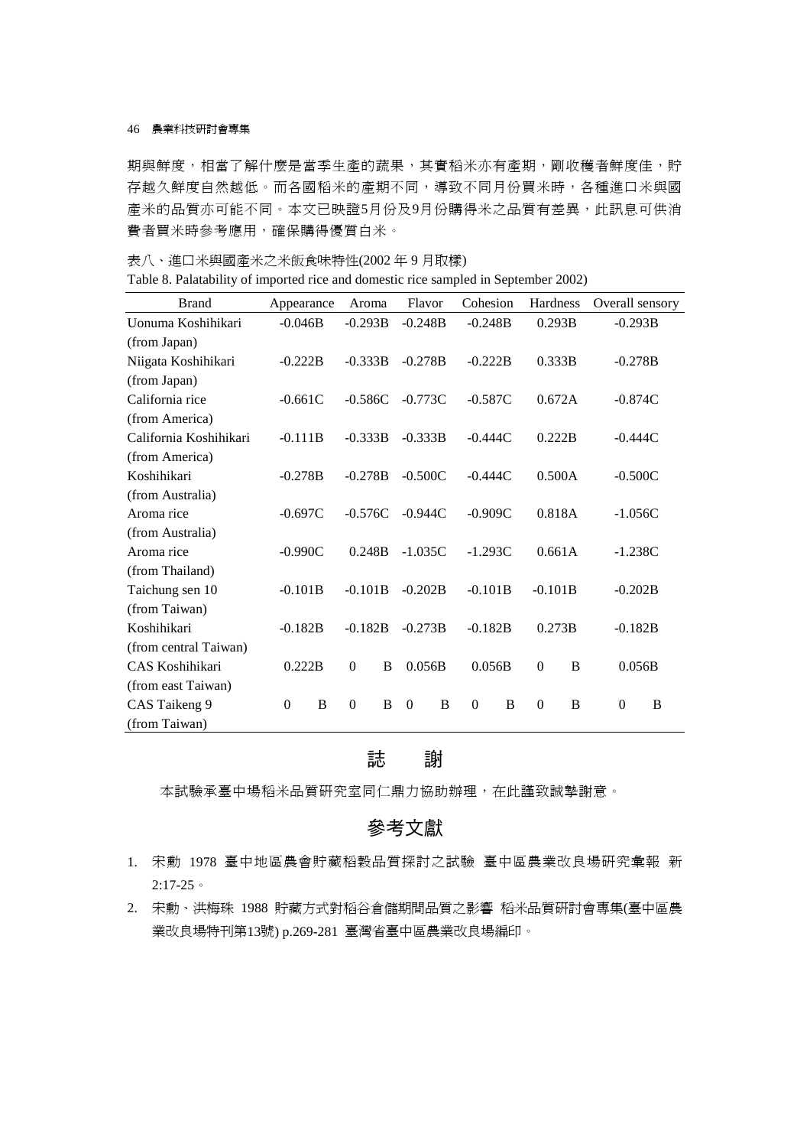期與鮮度,相當了解什麼是當季生產的蔬果,其實稻米亦有產期,剛收穫者鮮度佳,貯 存越久鮮度自然越低。而各國稻米的產期不同,導致不同月份買米時,各種進口米與國 產米的品質亦可能不同。本文已映證5月份及9月份購得米之品質有差異,此訊息可供消 費者買米時參考應用,確保購得優質白米。

表八、進口米與國產米之米飯食味特性(2002 年 9 月取樣)

| Table 8. Palatability of imported rice and domestic rice sampled in September 2002) |  |  |  |  |  |  |  |  |  |
|-------------------------------------------------------------------------------------|--|--|--|--|--|--|--|--|--|
|-------------------------------------------------------------------------------------|--|--|--|--|--|--|--|--|--|

| <b>Brand</b>           | Appearance                      |   | Aroma     |        |           | Flavor |           | Cohesion      |           | Hardness | Overall sensory |   |
|------------------------|---------------------------------|---|-----------|--------|-----------|--------|-----------|---------------|-----------|----------|-----------------|---|
| Uonuma Koshihikari     | $-0.046B$                       |   | $-0.293B$ |        | $-0.248B$ |        | $-0.248B$ |               | 0.293B    |          | $-0.293B$       |   |
| (from Japan)           |                                 |   |           |        |           |        |           |               |           |          |                 |   |
| Niigata Koshihikari    | $-0.222B$                       |   | $-0.333B$ |        | $-0.278B$ |        | $-0.222B$ |               | 0.333B    |          | $-0.278B$       |   |
| (from Japan)           |                                 |   |           |        |           |        |           |               |           |          |                 |   |
| California rice        | $-0.661C$                       |   | $-0.586C$ |        | $-0.773C$ |        | $-0.587C$ |               | 0.672A    |          | $-0.874C$       |   |
| (from America)         |                                 |   |           |        |           |        |           |               |           |          |                 |   |
| California Koshihikari | $-0.111B$                       |   | $-0.333B$ |        | $-0.333B$ |        | $-0.444C$ |               | 0.222B    |          | $-0.444C$       |   |
| (from America)         |                                 |   |           |        |           |        |           |               |           |          |                 |   |
| Koshihikari            | $-0.278B$                       |   | $-0.278B$ |        | $-0.500C$ |        | $-0.444C$ |               | 0.500A    |          | $-0.500C$       |   |
| (from Australia)       |                                 |   |           |        |           |        |           |               |           |          |                 |   |
| Aroma rice             | $-0.697C$                       |   | $-0.576C$ |        | $-0.944C$ |        | $-0.909C$ |               | 0.818A    |          | $-1.056C$       |   |
| (from Australia)       |                                 |   |           |        |           |        |           |               |           |          |                 |   |
| Aroma rice             | $-0.990C$                       |   | 0.248B    |        | $-1.035C$ |        | $-1.293C$ |               | 0.661A    |          | $-1.238C$       |   |
| (from Thailand)        |                                 |   |           |        |           |        |           |               |           |          |                 |   |
| Taichung sen 10        | $-0.101B$                       |   | $-0.101B$ |        | $-0.202B$ |        | $-0.101B$ |               | $-0.101B$ |          | $-0.202B$       |   |
| (from Taiwan)          |                                 |   |           |        |           |        |           |               |           |          |                 |   |
| Koshihikari            | $-0.182B$                       |   | $-0.182B$ |        | $-0.273B$ |        | $-0.182B$ |               | 0.273B    |          | $-0.182B$       |   |
| (from central Taiwan)  |                                 |   |           |        |           |        |           |               |           |          |                 |   |
| CAS Koshihikari        | 0.222B<br>$\boldsymbol{0}$<br>B |   |           | 0.056B |           | 0.056B |           | $\theta$<br>B |           |          | 0.056B          |   |
| (from east Taiwan)     |                                 |   |           |        |           |        |           |               |           |          |                 |   |
| CAS Taikeng 9          | $\Omega$                        | B | $\Omega$  | B      | $\theta$  | B      | $\theta$  | B             | $\theta$  | B        | $\Omega$        | B |
| (from Taiwan)          |                                 |   |           |        |           |        |           |               |           |          |                 |   |

## 誌 謝

本試驗承臺中場稻米品質研究室同仁鼎力協助辦理,在此謹致誠摯謝意。

## 參考文獻

- 1. 宋勳 1978 臺中地區農會貯藏稻穀品質探討之試驗 臺中區農業改良場研究彙報 新 2:17-25。
- 2. 宋勳、洪梅珠 1988 貯藏方式對稻谷倉儲期間品質之影響 稻米品質研討會專集(臺中區農 業改良場特刊第13號) p.269-281 臺灣省臺中區農業改良場編印。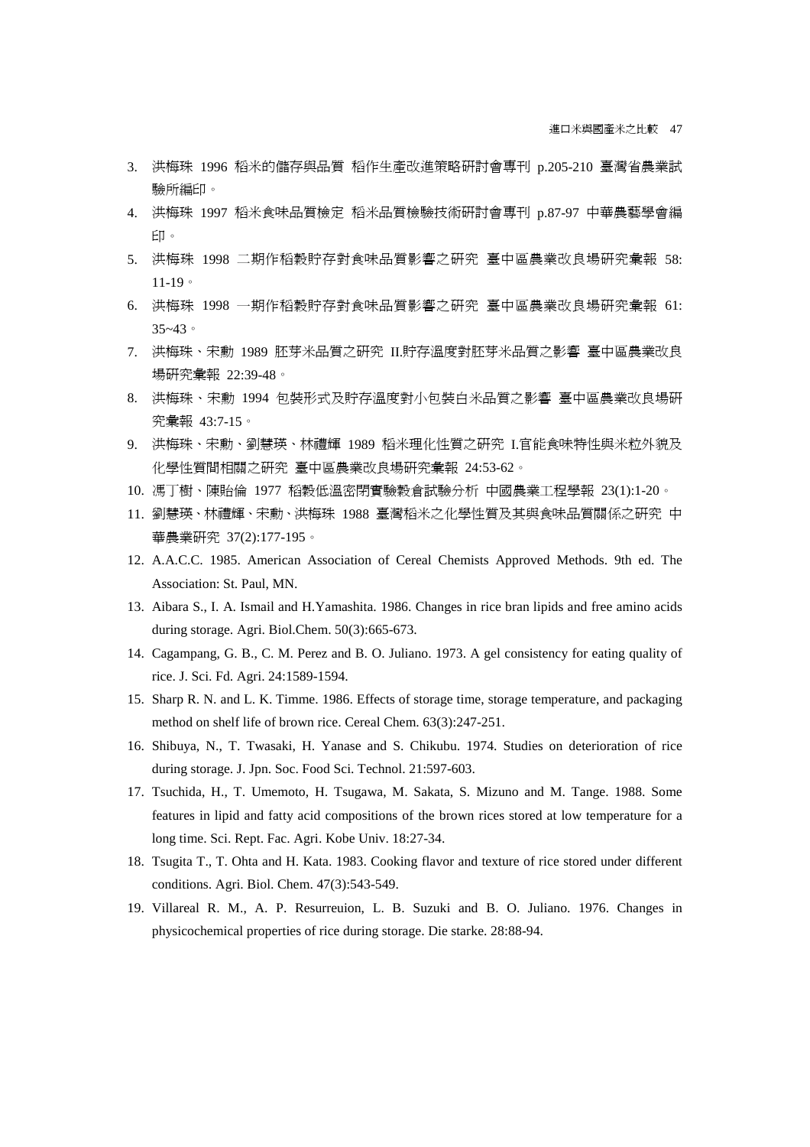- 3. 洪梅珠 1996 稻米的儲存與品質 稻作生產改進策略研討會專刊 p.205-210 臺灣省農業試 驗所編印。
- 4. 洪梅珠 1997 稻米食味品質檢定 稻米品質檢驗技術研討會專刊 p.87-97 中華農藝學會編 印。
- 5. 洪梅珠 1998 二期作稻穀貯存對食味品質影響之研究 臺中區農業改良場研究彙報 58: 11-19。
- 6. 洪梅珠 1998 一期作稻穀貯存對食味品質影響之研究 臺中區農業改良場研究彙報 61: 35~43。
- 7. 洪梅珠、宋勳 1989 胚芽米品質之研究 II.貯存溫度對胚芽米品質之影響 臺中區農業改良 場研究彙報 22:39-48。
- 8. 洪梅珠、宋勳 1994 包裝形式及貯存溫度對小包裝白米品質之影響 臺中區農業改良場研 究彙報 43:7-15。
- 9. 洪梅珠、宋勳、劉慧瑛、林禮輝 1989 稻米理化性質之研究 I.官能食味特性與米粒外貌及 化學性質間相關之研究 臺中區農業改良場研究彙報 24:53-62。
- 10. 馮丁樹、陳貽倫 1977 稻穀低溫密閉實驗穀倉試驗分析 中國農業工程學報 23(1):1-20。
- 11. 劉慧瑛、林禮輝、宋勳、洪梅珠 1988 臺灣稻米之化學性質及其與食味品質關係之研究 中 華農業研究 37(2):177-195。
- 12. A.A.C.C. 1985. American Association of Cereal Chemists Approved Methods. 9th ed. The Association: St. Paul, MN.
- 13. Aibara S., I. A. Ismail and H.Yamashita. 1986. Changes in rice bran lipids and free amino acids during storage. Agri. Biol.Chem. 50(3):665-673.
- 14. Cagampang, G. B., C. M. Perez and B. O. Juliano. 1973. A gel consistency for eating quality of rice. J. Sci. Fd. Agri. 24:1589-1594.
- 15. Sharp R. N. and L. K. Timme. 1986. Effects of storage time, storage temperature, and packaging method on shelf life of brown rice. Cereal Chem. 63(3):247-251.
- 16. Shibuya, N., T. Twasaki, H. Yanase and S. Chikubu. 1974. Studies on deterioration of rice during storage. J. Jpn. Soc. Food Sci. Technol. 21:597-603.
- 17. Tsuchida, H., T. Umemoto, H. Tsugawa, M. Sakata, S. Mizuno and M. Tange. 1988. Some features in lipid and fatty acid compositions of the brown rices stored at low temperature for a long time. Sci. Rept. Fac. Agri. Kobe Univ. 18:27-34.
- 18. Tsugita T., T. Ohta and H. Kata. 1983. Cooking flavor and texture of rice stored under different conditions. Agri. Biol. Chem. 47(3):543-549.
- 19. Villareal R. M., A. P. Resurreuion, L. B. Suzuki and B. O. Juliano. 1976. Changes in physicochemical properties of rice during storage. Die starke. 28:88-94.